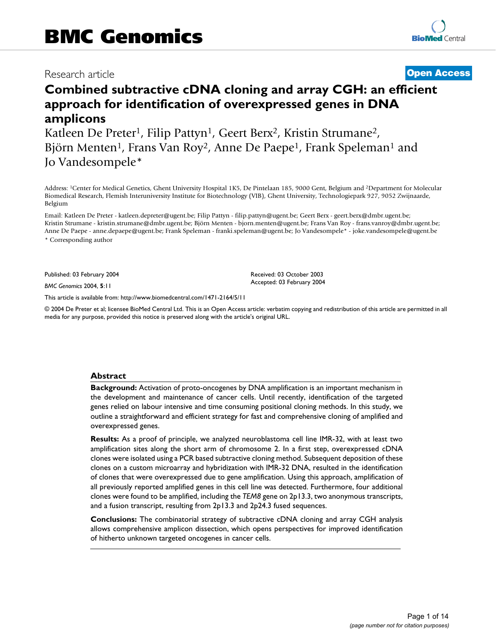# Research article **[Open Access](http://www.biomedcentral.com/info/about/charter/)**

# **Combined subtractive cDNA cloning and array CGH: an efficient approach for identification of overexpressed genes in DNA amplicons**

Katleen De Preter<sup>1</sup>, Filip Pattyn<sup>1</sup>, Geert Berx<sup>2</sup>, Kristin Strumane<sup>2</sup>, Björn Menten<sup>1</sup>, Frans Van Roy<sup>2</sup>, Anne De Paepe<sup>1</sup>, Frank Speleman<sup>1</sup> and Jo Vandesompele\*

Address: 1Center for Medical Genetics, Ghent University Hospital 1K5, De Pintelaan 185, 9000 Gent, Belgium and 2Department for Molecular Biomedical Research, Flemish Interuniversity Institute for Biotechnology (VIB), Ghent University, Technologiepark 927, 9052 Zwijnaarde, Belgium

Email: Katleen De Preter - katleen.depreter@ugent.be; Filip Pattyn - filip.pattyn@ugent.be; Geert Berx - geert.berx@dmbr.ugent.be; Kristin Strumane - kristin.strumane@dmbr.ugent.be; Björn Menten - bjorn.menten@ugent.be; Frans Van Roy - frans.vanroy@dmbr.ugent.be; Anne De Paepe - anne.depaepe@ugent.be; Frank Speleman - franki.speleman@ugent.be; Jo Vandesompele\* - joke.vandesompele@ugent.be \* Corresponding author

Published: 03 February 2004

*BMC Genomics* 2004, **5**:11

[This article is available from: http://www.biomedcentral.com/1471-2164/5/11](http://www.biomedcentral.com/1471-2164/5/11)

© 2004 De Preter et al; licensee BioMed Central Ltd. This is an Open Access article: verbatim copying and redistribution of this article are permitted in all media for any purpose, provided this notice is preserved along with the article's original URL.

Received: 03 October 2003 Accepted: 03 February 2004

#### **Abstract**

**Background:** Activation of proto-oncogenes by DNA amplification is an important mechanism in the development and maintenance of cancer cells. Until recently, identification of the targeted genes relied on labour intensive and time consuming positional cloning methods. In this study, we outline a straightforward and efficient strategy for fast and comprehensive cloning of amplified and overexpressed genes.

**Results:** As a proof of principle, we analyzed neuroblastoma cell line IMR-32, with at least two amplification sites along the short arm of chromosome 2. In a first step, overexpressed cDNA clones were isolated using a PCR based subtractive cloning method. Subsequent deposition of these clones on a custom microarray and hybridization with IMR-32 DNA, resulted in the identification of clones that were overexpressed due to gene amplification. Using this approach, amplification of all previously reported amplified genes in this cell line was detected. Furthermore, four additional clones were found to be amplified, including the *TEM8* gene on 2p13.3, two anonymous transcripts, and a fusion transcript, resulting from 2p13.3 and 2p24.3 fused sequences.

**Conclusions:** The combinatorial strategy of subtractive cDNA cloning and array CGH analysis allows comprehensive amplicon dissection, which opens perspectives for improved identification of hitherto unknown targeted oncogenes in cancer cells.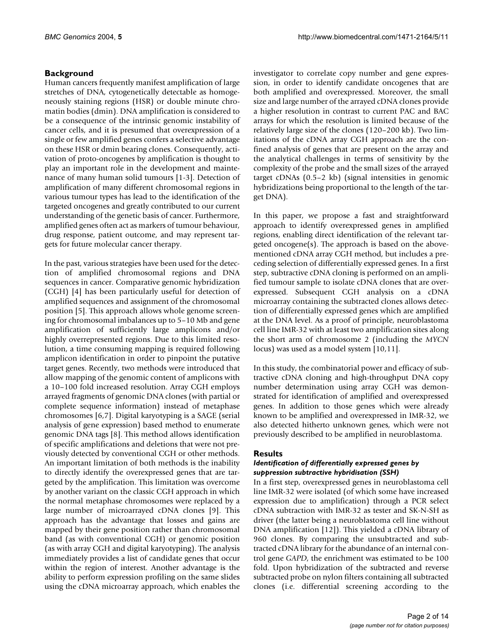# **Background**

Human cancers frequently manifest amplification of large stretches of DNA, cytogenetically detectable as homogeneously staining regions (HSR) or double minute chromatin bodies (dmin). DNA amplification is considered to be a consequence of the intrinsic genomic instability of cancer cells, and it is presumed that overexpression of a single or few amplified genes confers a selective advantage on these HSR or dmin bearing clones. Consequently, activation of proto-oncogenes by amplification is thought to play an important role in the development and maintenance of many human solid tumours [1-3]. Detection of amplification of many different chromosomal regions in various tumour types has lead to the identification of the targeted oncogenes and greatly contributed to our current understanding of the genetic basis of cancer. Furthermore, amplified genes often act as markers of tumour behaviour, drug response, patient outcome, and may represent targets for future molecular cancer therapy.

In the past, various strategies have been used for the detection of amplified chromosomal regions and DNA sequences in cancer. Comparative genomic hybridization (CGH) [4] has been particularly useful for detection of amplified sequences and assignment of the chromosomal position [5]. This approach allows whole genome screening for chromosomal imbalances up to 5–10 Mb and gene amplification of sufficiently large amplicons and/or highly overrepresented regions. Due to this limited resolution, a time consuming mapping is required following amplicon identification in order to pinpoint the putative target genes. Recently, two methods were introduced that allow mapping of the genomic content of amplicons with a 10–100 fold increased resolution. Array CGH employs arrayed fragments of genomic DNA clones (with partial or complete sequence information) instead of metaphase chromosomes [6,7]. Digital karyotyping is a SAGE (serial analysis of gene expression) based method to enumerate genomic DNA tags [8]. This method allows identification of specific amplifications and deletions that were not previously detected by conventional CGH or other methods. An important limitation of both methods is the inability to directly identify the overexpressed genes that are targeted by the amplification. This limitation was overcome by another variant on the classic CGH approach in which the normal metaphase chromosomes were replaced by a large number of microarrayed cDNA clones [9]. This approach has the advantage that losses and gains are mapped by their gene position rather than chromosomal band (as with conventional CGH) or genomic position (as with array CGH and digital karyotyping). The analysis immediately provides a list of candidate genes that occur within the region of interest. Another advantage is the ability to perform expression profiling on the same slides using the cDNA microarray approach, which enables the investigator to correlate copy number and gene expression, in order to identify candidate oncogenes that are both amplified and overexpressed. Moreover, the small size and large number of the arrayed cDNA clones provide a higher resolution in contrast to current PAC and BAC arrays for which the resolution is limited because of the relatively large size of the clones (120–200 kb). Two limitations of the cDNA array CGH approach are the confined analysis of genes that are present on the array and the analytical challenges in terms of sensitivity by the complexity of the probe and the small sizes of the arrayed target cDNAs (0.5–2 kb) (signal intensities in genomic hybridizations being proportional to the length of the target DNA).

In this paper, we propose a fast and straightforward approach to identify overexpressed genes in amplified regions, enabling direct identification of the relevant targeted oncogene(s). The approach is based on the abovementioned cDNA array CGH method, but includes a preceding selection of differentially expressed genes. In a first step, subtractive cDNA cloning is performed on an amplified tumour sample to isolate cDNA clones that are overexpressed. Subsequent CGH analysis on a cDNA microarray containing the subtracted clones allows detection of differentially expressed genes which are amplified at the DNA level. As a proof of principle, neuroblastoma cell line IMR-32 with at least two amplification sites along the short arm of chromosome 2 (including the *MYCN* locus) was used as a model system [10,11].

In this study, the combinatorial power and efficacy of subtractive cDNA cloning and high-throughput DNA copy number determination using array CGH was demonstrated for identification of amplified and overexpressed genes. In addition to those genes which were already known to be amplified and overexpressed in IMR-32, we also detected hitherto unknown genes, which were not previously described to be amplified in neuroblastoma.

# **Results**

#### *Identification of differentially expressed genes by suppression subtractive hybridisation (SSH)*

In a first step, overexpressed genes in neuroblastoma cell line IMR-32 were isolated (of which some have increased expression due to amplification) through a PCR select cDNA subtraction with IMR-32 as tester and SK-N-SH as driver (the latter being a neuroblastoma cell line without DNA amplification [12]). This yielded a cDNA library of 960 clones. By comparing the unsubtracted and subtracted cDNA library for the abundance of an internal control gene *GAPD*, the enrichment was estimated to be 100 fold. Upon hybridization of the subtracted and reverse subtracted probe on nylon filters containing all subtracted clones (i.e. differential screening according to the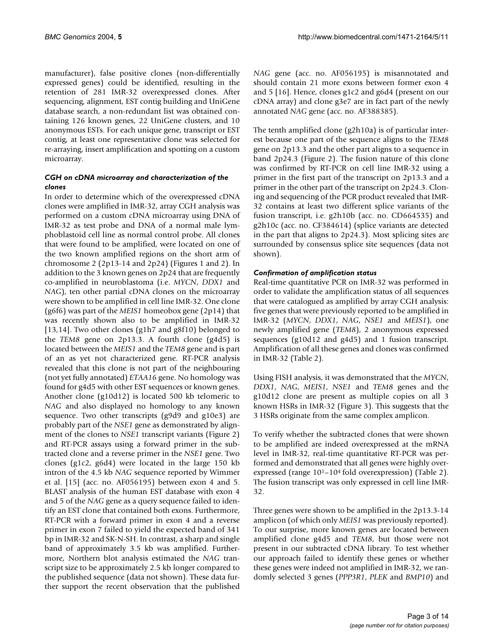manufacturer), false positive clones (non-differentially expressed genes) could be identified, resulting in the retention of 281 IMR-32 overexpressed clones. After sequencing, alignment, EST contig building and UniGene database search, a non-redundant list was obtained containing 126 known genes, 22 UniGene clusters, and 10 anonymous ESTs. For each unique gene, transcript or EST contig, at least one representative clone was selected for re-arraying, insert amplification and spotting on a custom microarray.

#### *CGH on cDNA microarray and characterization of the clones*

In order to determine which of the overexpressed cDNA clones were amplified in IMR-32, array CGH analysis was performed on a custom cDNA microarray using DNA of IMR-32 as test probe and DNA of a normal male lymphoblastoid cell line as normal control probe. All clones that were found to be amplified, were located on one of the two known amplified regions on the short arm of chromosome 2 (2p13-14 and 2p24) (Figures [1](#page-3-0) and [2](#page-4-0)). In addition to the 3 known genes on 2p24 that are frequently co-amplified in neuroblastoma (i.e. *MYCN*, *DDX1* and *NAG*), ten other partial cDNA clones on the microarray were shown to be amplified in cell line IMR-32. One clone (g6f6) was part of the *MEIS1* homeobox gene (2p14) that was recently shown also to be amplified in IMR-32 [13,14]. Two other clones (g1h7 and g8f10) belonged to the *TEM8* gene on 2p13.3. A fourth clone (g4d5) is located between the *MEIS1* and the *TEM8* gene and is part of an as yet not characterized gene. RT-PCR analysis revealed that this clone is not part of the neighbouring (not yet fully annotated) *ETAA16* gene. No homology was found for g4d5 with other EST sequences or known genes. Another clone (g10d12) is located 500 kb telomeric to *NAG* and also displayed no homology to any known sequence. Two other transcripts (g9d9 and g10e3) are probably part of the *NSE1* gene as demonstrated by alignment of the clones to *NSE1* transcript variants (Figure [2](#page-4-0)) and RT-PCR assays using a forward primer in the subtracted clone and a reverse primer in the *NSE1* gene. Two clones (g1c2, g6d4) were located in the large 150 kb intron of the 4.5 kb *NAG* sequence reported by Wimmer et al. [15] (acc. no. AF056195) between exon 4 and 5. BLAST analysis of the human EST database with exon 4 and 5 of the *NAG* gene as a query sequence failed to identify an EST clone that contained both exons. Furthermore, RT-PCR with a forward primer in exon 4 and a reverse primer in exon 7 failed to yield the expected band of 341 bp in IMR-32 and SK-N-SH. In contrast, a sharp and single band of approximately 3.5 kb was amplified. Furthermore, Northern blot analysis estimated the *NAG* transcript size to be approximately 2.5 kb longer compared to the published sequence (data not shown). These data further support the recent observation that the published

*NAG* gene (acc. no. AF056195) is misannotated and should contain 21 more exons between former exon 4 and 5 [16]. Hence, clones g1c2 and g6d4 (present on our cDNA array) and clone g3e7 are in fact part of the newly annotated *NAG* gene (acc. no. AF388385).

The tenth amplified clone (g2h10a) is of particular interest because one part of the sequence aligns to the *TEM8* gene on 2p13.3 and the other part aligns to a sequence in band 2p24.3 (Figure [2](#page-4-0)). The fusion nature of this clone was confirmed by RT-PCR on cell line IMR-32 using a primer in the first part of the transcript on 2p13.3 and a primer in the other part of the transcript on 2p24.3. Cloning and sequencing of the PCR product revealed that IMR-32 contains at least two different splice variants of the fusion transcript, i.e. g2h10b (acc. no. CD664535) and g2h10c (acc. no. CF384614) (splice variants are detected in the part that aligns to 2p24.3). Most splicing sites are surrounded by consensus splice site sequences (data not shown).

#### *Confirmation of amplification status*

Real-time quantitative PCR on IMR-32 was performed in order to validate the amplification status of all sequences that were catalogued as amplified by array CGH analysis: five genes that were previously reported to be amplified in IMR-32 (*MYCN*, *DDX1*, *NAG*, *NSE1* and *MEIS1*), one newly amplified gene (*TEM8*), 2 anonymous expressed sequences (g10d12 and g4d5) and 1 fusion transcript. Amplification of all these genes and clones was confirmed in IMR-32 (Table [2](#page-5-0)).

Using FISH analysis, it was demonstrated that the *MYCN*, *DDX1*, *NAG*, *MEIS1*, *NSE1* and *TEM8* genes and the g10d12 clone are present as multiple copies on all 3 known HSRs in IMR-32 (Figure 3). This suggests that the 3 HSRs originate from the same complex amplicon.

To verify whether the subtracted clones that were shown to be amplified are indeed overexpressed at the mRNA level in IMR-32, real-time quantitative RT-PCR was performed and demonstrated that all genes were highly overexpressed (range 101–104 fold overexpression) (Table [2\)](#page-5-0). The fusion transcript was only expressed in cell line IMR-32.

Three genes were shown to be amplified in the 2p13.3-14 amplicon (of which only *MEIS1* was previously reported). To our surprise, more known genes are located between amplified clone g4d5 and *TEM8*, but those were not present in our subtracted cDNA library. To test whether our approach failed to identify these genes or whether these genes were indeed not amplified in IMR-32, we randomly selected 3 genes (*PPP3R1*, *PLEK* and *BMP10*) and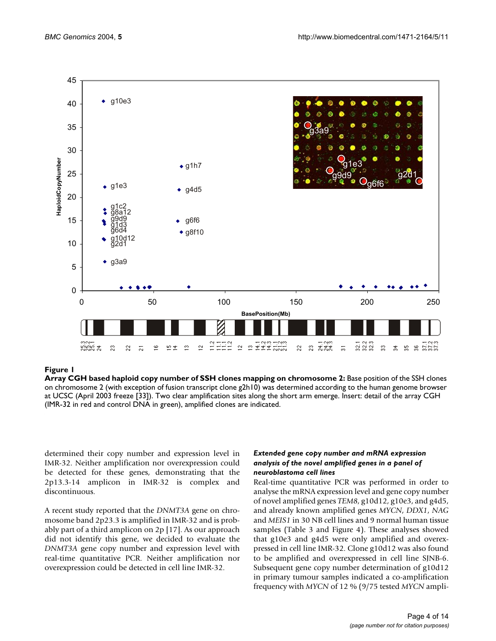<span id="page-3-0"></span>

#### Array CGH based haploid copy number of **Figure 1** SSH clones mapping on chromosome 2

**Array CGH based haploid copy number of SSH clones mapping on chromosome 2:** Base position of the SSH clones on chromosome 2 (with exception of fusion transcript clone g2h10) was determined according to the human genome browser at UCSC (April 2003 freeze [33]). Two clear amplification sites along the short arm emerge. Insert: detail of the array CGH (IMR-32 in red and control DNA in green), amplified clones are indicated.

determined their copy number and expression level in IMR-32. Neither amplification nor overexpression could be detected for these genes, demonstrating that the 2p13.3-14 amplicon in IMR-32 is complex and discontinuous.

A recent study reported that the *DNMT3A* gene on chromosome band 2p23.3 is amplified in IMR-32 and is probably part of a third amplicon on 2p [17]. As our approach did not identify this gene, we decided to evaluate the *DNMT3A* gene copy number and expression level with real-time quantitative PCR. Neither amplification nor overexpression could be detected in cell line IMR-32.

#### *Extended gene copy number and mRNA expression analysis of the novel amplified genes in a panel of neuroblastoma cell lines*

Real-time quantitative PCR was performed in order to analyse the mRNA expression level and gene copy number of novel amplified genes *TEM8*, g10d12, g10e3, and g4d5, and already known amplified genes *MYCN*, *DDX1*, *NAG* and *MEIS1* in 30 NB cell lines and 9 normal human tissue samples (Table [3](#page-6-0) and Figure 4). These analyses showed that g10e3 and g4d5 were only amplified and overexpressed in cell line IMR-32. Clone g10d12 was also found to be amplified and overexpressed in cell line SJNB-6. Subsequent gene copy number determination of g10d12 in primary tumour samples indicated a co-amplification frequency with *MYCN* of 12 % (9/75 tested *MYCN* ampli-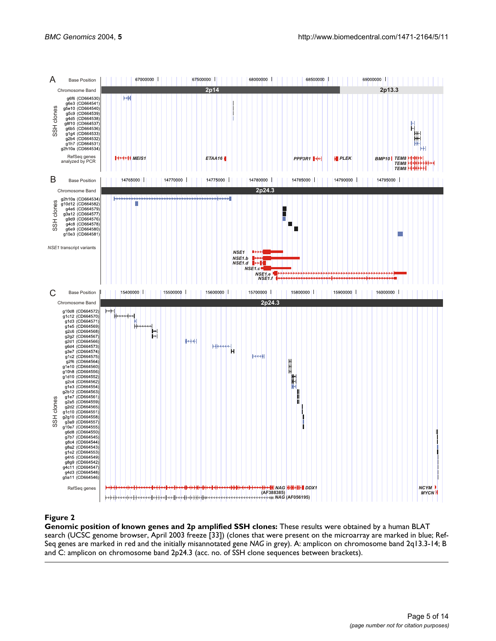<span id="page-4-0"></span>

#### Figure 2

**Genomic position of known genes and 2p amplified SSH clones:** These results were obtained by a human BLAT search (UCSC genome browser, April 2003 freeze [33]) (clones that were present on the microarray are marked in blue; Ref-Seq genes are marked in red and the initially misannotated gene *NAG* in grey). A: amplicon on chromosome band 2q13.3-14; B and C: amplicon on chromosome band 2p24.3 (acc. no. of SSH clone sequences between brackets).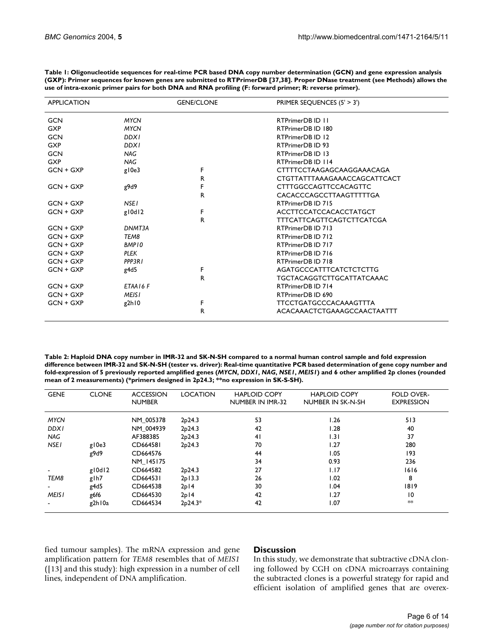| <b>APPLICATION</b> |              | <b>GENE/CLONE</b> | PRIMER SEQUENCES (5' > 3')       |
|--------------------|--------------|-------------------|----------------------------------|
| <b>GCN</b>         | <b>MYCN</b>  |                   | RTPrimerDB ID 11                 |
| <b>GXP</b>         | <b>MYCN</b>  |                   | RTPrimerDB ID 180                |
| <b>GCN</b>         | <b>DDXI</b>  |                   | RTPrimerDB ID 12                 |
| <b>GXP</b>         | <b>DDXI</b>  |                   | RTPrimerDB ID 93                 |
| <b>GCN</b>         | <b>NAG</b>   |                   | RTPrimerDB ID 13                 |
| <b>GXP</b>         | <b>NAG</b>   |                   | RTPrimerDB ID 114                |
| $GCN + GXP$        | g10e3        | F.                | CTTTTCCTAAGAGCAAGGAAACAGA        |
|                    |              | R                 | CTGTTATTTAAAGAAACCAGCATTCACT     |
| $GCN + GXP$        | g9d9         |                   | <b>CTTTGGCCAGTTCCACAGTTC</b>     |
|                    |              | R                 | <b>CACACCCAGCCTTAAGTTTTTGA</b>   |
| $GCN + GXP$        | <b>NSE1</b>  |                   | RTPrimerDB ID 715                |
| $GCN + GXP$        | g10d12       | F                 | ACCTTCCATCCACACCTATGCT           |
|                    |              | R.                | <b>TTTCATTCAGTTCAGTCTTCATCGA</b> |
| $GCN + GXP$        | DNMT3A       |                   | RTPrimerDB ID 713                |
| $GCN + GXP$        | TEM8         |                   | RTPrimerDB ID 712                |
| $GCN + GXP$        | <b>BMP10</b> |                   | RTPrimerDB ID 717                |
| $GCN + GXP$        | <b>PLEK</b>  |                   | RTPrimerDB ID 716                |
| $GCN + GXP$        | PPP3R1       |                   | RTPrimerDB ID 718                |
| $GCN + GXP$        | g4d5         | F                 | AGATGCCCATTTCATCTCTCTTG          |
|                    |              | R                 | <b>TGCTACAGGTCTTGCATTATCAAAC</b> |
| $GCN + GXP$        | ETAA16 F     |                   | RTPrimerDB ID 714                |
| $GCN + GXP$        | <b>MEISI</b> |                   | RTPrimerDB ID 690                |
| $GCN + GXP$        | g2h10        | F                 | <b>TTCCTGATGCCCACAAAGTTTA</b>    |
|                    |              | R                 | ACACAAACTCTGAAAGCCAACTAATTT      |

<span id="page-5-1"></span>**Table 1: Oligonucleotide sequences for real-time PCR based DNA copy number determination (GCN) and gene expression analysis (GXP): Primer sequences for known genes are submitted to RTPrimerDB [37,38]. Proper DNase treatment (see Methods) allows the use of intra-exonic primer pairs for both DNA and RNA profiling (F: forward primer; R: reverse primer).**

<span id="page-5-0"></span>**Table 2: Haploid DNA copy number in IMR-32 and SK-N-SH compared to a normal human control sample and fold expression difference between IMR-32 and SK-N-SH (tester vs. driver): Real-time quantitative PCR based determination of gene copy number and fold-expression of 5 previously reported amplified genes (***MYCN***,** *DDX1***,** *NAG***,** *NSE1***,** *MEIS1***) and 6 other amplified 2p clones (rounded mean of 2 measurements) (\*primers designed in 2p24.3; \*\*no expression in SK-S-SH).**

| <b>GENE</b>  | <b>CLONE</b> | <b>ACCESSION</b><br><b>NUMBER</b> | <b>LOCATION</b>     | <b>HAPLOID COPY</b><br>NUMBER IN IMR-32 | <b>HAPLOID COPY</b><br>NUMBER IN SK-N-SH | <b>FOLD OVER-</b><br><b>EXPRESSION</b> |  |
|--------------|--------------|-----------------------------------|---------------------|-----------------------------------------|------------------------------------------|----------------------------------------|--|
| <b>MYCN</b>  |              | NM 005378                         | 2p24.3              | 53                                      | 1.26                                     | 513                                    |  |
| <b>DDXI</b>  |              | NM 004939                         | 2 <sub>p</sub> 24.3 | 42                                      | 1.28                                     | 40                                     |  |
| <b>NAG</b>   |              | AF388385                          | 2p24.3              | 41                                      | 1.31                                     | 37                                     |  |
| <b>NSE1</b>  | g10e3        | CD664581                          | 2p24.3              | 70                                      | 1.27                                     | 280                                    |  |
|              | g9d9         | CD664576                          |                     | 44                                      | l.05                                     | 193                                    |  |
|              |              | NM 145175                         |                     | 34                                      | 0.93                                     | 236                                    |  |
|              | g10d12       | CD664582                          | 2p24.3              | 27                                      | 1.17                                     | 1616                                   |  |
| TEM8         | g1h7         | CD664531                          | 2p13.3              | 26                                      | 1.02                                     | 8                                      |  |
|              | g4d5         | CD664538                          | 2p14                | 30                                      | 1.04                                     | 1819                                   |  |
| <b>MEISI</b> | g6f6         | CD664530                          | 2p14                | 42                                      | 1.27                                     | $\overline{10}$                        |  |
|              | g2h10a       | CD664534                          | $2p24.3*$           | 42                                      | 1.07                                     | $*$                                    |  |

fied tumour samples). The mRNA expression and gene amplification pattern for *TEM8* resembles that of *MEIS1* ([13] and this study): high expression in a number of cell lines, independent of DNA amplification.

#### **Discussion**

In this study, we demonstrate that subtractive cDNA cloning followed by CGH on cDNA microarrays containing the subtracted clones is a powerful strategy for rapid and efficient isolation of amplified genes that are overex-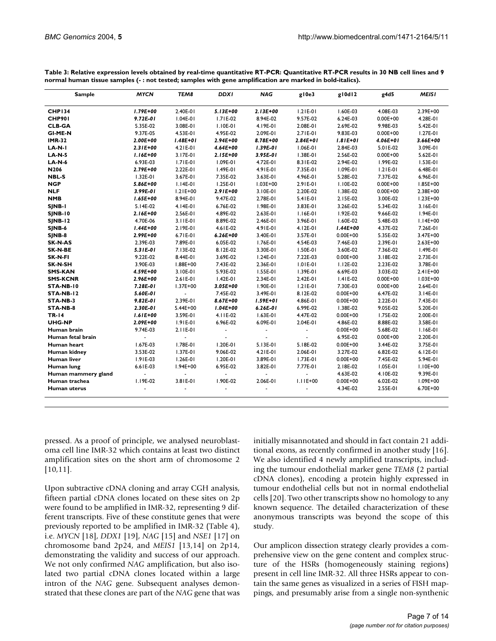| <b>Sample</b>       | <b>MYCN</b>  | TEM8         | <b>DDXI</b>  | <b>NAG</b>   | g10e3        | gl0dl2       | g4d5         | <b>MEISI</b> |
|---------------------|--------------|--------------|--------------|--------------|--------------|--------------|--------------|--------------|
| <b>CHP134</b>       | $1.79E + 00$ | 2.40E-01     | $5.13E + 00$ | $2.13E + 00$ | $1.21E-01$   | I.60E-03     | 4.08E-03     | 2.39E+00     |
| <b>CHP901</b>       | $9.72E - 01$ | $1.04E - 01$ | $1.71E-02$   | 8.94E-02     | 9.57E-02     | 6.24E-03     | $0.00E + 00$ | 4.28E-01     |
| <b>CLB-GA</b>       | 5.35E-02     | 3.08E-01     | 1.10E-01     | 4.19E-01     | 2.08E-01     | 2.69E-02     | 9.98E-03     | 5.42E-01     |
| GI-ME-N             | 9.37E-05     | 4.53E-01     | 4.95E-02     | 2.09E-01     | 2.71E-01     | 9.83E-03     | $0.00E + 00$ | I.27E-01     |
| <b>IMR-32</b>       | 2.00E+00     | $1.48E + 01$ | $2.94E + 00$ | 8.78E+00     | $2.84E + 01$ | $1.81E + 01$ | 4.06E+01     | 3.66E+00     |
| $LA-N-I$            | 2.31E+00     | 4.21E-01     | 4.64E+00     | 1.39E-01     | 1.06E-01     | 2.84E-03     | 5.01E-02     | 3.09E-01     |
| $LA-N-5$            | I.16E+00     | 3.17E-01     | 2.15E+00     | 3.95E-01     | 1.38E-01     | 2.56E-02     | $0.00E + 00$ | 5.62E-01     |
| $LA-N-6$            | 6.93E-03     | $1.71E-01$   | 1.09E-01     | 4.72E-01     | 8.31E-02     | 2.94E-02     | I.99E-02     | 1.53E-01     |
| N206                | 2.79E+00     | 2.22E-01     | 1.49E-01     | 4.91E-01     | 7.35E-01     | I.09E-01     | $1.21E-01$   | 6.48E-01     |
| <b>NBL-S</b>        | 1.32E-01     | 3.67E-01     | 7.35E-02     | 3.63E-01     | 4.96E-01     | 5.28E-02     | 7.37E-02     | 6.96E-01     |
| <b>NGP</b>          | 5.86E+00     | $1.14E-01$   | $1.25E-01$   | $1.03E + 00$ | 2.91E-01     | I.I0E-02     | $0.00E + 00$ | $1.85E + 00$ |
| <b>NLF</b>          | 3.99E-01     | $1.21E + 00$ | $2.91E + 00$ | 3.10E-01     | 2.20E-02     | I.38E-02     | $0.00E + 00$ | 2.38E+00     |
| <b>NMB</b>          | $1.65E + 00$ | 8.94E-01     | 9.47E-02     | 2.78E-01     | 5.41E-01     | 2.15E-02     | 3.00E-02     | $1.23E + 00$ |
| SINB-I              | 5.14E-02     | 4.14E-01     | 6.76E-02     | 1.98E-01     | 3.83E-01     | 3.26E-02     | 5.34E-02     | 3.16E-01     |
| <b>SJNB-10</b>      | 2.16E+00     | 2.56E-01     | 4.89E-02     | 2.63E-01     | I.16E-01     | I.92E-02     | 9.66E-02     | 1.94E-01     |
| <b>SJNB-12</b>      | 4.70E-06     | $3.11E-01$   | 8.89E-02     | 2.46E-01     | 3.96E-01     | I.60E-02     | 5.48E-03     | $1.14E + 00$ |
| SINB-6              | $1.44E + 00$ | 2.19E-01     | 4.61E-02     | 4.91E-01     | 4.12E-01     | $1.44E + 00$ | 4.37E-02     | 7.26E-01     |
| SJNB-8              | 2.99E+00     | 6.71E-01     | 6.26E+00     | 3.40E-01     | 3.57E-01     | $0.00E + 00$ | 5.35E-02     | 3.47E+00     |
| SK-N-AS             | 2.39E-03     | 7.89E-01     | 6.05E-02     | 1.76E-01     | 4.54E-03     | 7.46E-03     | 2.39E-01     | $2.63E + 00$ |
| SK-N-BE             | 5.31E-01     | 7.13E-02     | 8.12E-02     | 3.30E-01     | I.50E-01     | 3.60E-02     | 7.36E-02     | 1.49E-01     |
| SK-N-FI             | 9.22E-02     | 8.44E-01     | 3.69E-02     | $1.24E-01$   | 7.22E-03     | $0.00E + 00$ | 3.18E-02     | 2.73E-01     |
| SK-N-SH             | 3.90E-03     | I.88E+00     | 7.43E-02     | 2.36E-01     | $1.01E-01$   | I.12E-02     | 2.23E-02     | 3.78E-01     |
| <b>SMS-KAN</b>      | 4.59E+00     | 3.10E-01     | 5.93E-02     | 1.55E-01     | 1.39E-01     | 6.69E-03     | 3.03E-02     | $2.41E+00$   |
| <b>SMS-KCNR</b>     | 2.96E+00     | $2.61E-01$   | $1.42E - 01$ | 2.34E-01     | 2.42E-01     | I.41E-02     | $0.00E + 00$ | $1.03E + 00$ |
| STA-NB-10           | 7.28E-01     | $1.37E + 00$ | 3.05E+00     | 1.90E-01     | $1.21E-01$   | 7.30E-03     | $0.00E + 00$ | 2.64E-01     |
| <b>STA-NB-12</b>    | 5.60E-01     |              | 7.45E-02     | 3.49E-01     | 8.12E-02     | $0.00E + 00$ | 6.47E-02     | 3.14E-01     |
| STA-NB-3            | $9.82E - 01$ | 2.39E-01     | 8.67E+00     | $1.59E + 01$ | 4.86E-01     | $0.00E + 00$ | 2.22E-01     | 7.43E-01     |
| STA-NB-8            | 2.30E-01     | $5.44E + 00$ | $1.04E + 00$ | $6.26E - 01$ | 6.99E-02     | I.38E-02     | 9.05E-02     | 5.20E-01     |
| <b>TR-14</b>        | $1.61E + 00$ | 3.59E-01     | 4.11E-02     | $1.63E-01$   | 4.47E-02     | $0.00E + 00$ | I.75E-02     | 2.00E-01     |
| <b>UHG-NP</b>       | 2.09E+00     | 1.91E-01     | 6.96E-02     | 6.09E-01     | 2.04E-01     | 4.86E-02     | 8.88E-02     | 3.58E-01     |
| Human brain         | 9.74E-03     | 2.11E-01     | ä,           | ä,           | ÷,           | $0.00E + 00$ | 5.68E-02     | I.16E-01     |
| Human fetal brain   |              |              |              |              |              | 6.95E-02     | $0.00E + 00$ | 2.20E-01     |
| Human heart         | I.67E-03     | I.78E-01     | $1.20E-01$   | 5.13E-01     | 5.18E-02     | $0.00E + 00$ | 3.44E-02     | 3.75E-01     |
| Human kidney        | 3.53E-02     | 1.37E-01     | 9.06E-02     | 4.21E-01     | 2.06E-01     | 3.27E-02     | 6.82E-02     | 6.12E-01     |
| Human liver         | 1.91E-03     | I.26E-01     | I.20E-01     | 3.89E-01     | 1.73E-01     | $0.00E + 00$ | 7.45E-02     | 5.94E-01     |
| Human lung          | 6.61E-03     | $1.94E + 00$ | 6.95E-02     | 3.82E-01     | 7.77E-01     | 2.18E-02     | $1.05E-01$   | $1.10E + 00$ |
| Human mammery gland | ÷            | ÷.           | ä,           |              |              | 4.63E-02     | 4.10E-02     | 9.39E-01     |
| Human trachea       | I.19E-02     | 3.81E-01     | 1.90E-02     | 2.06E-01     | $1.11E+00$   | $0.00E + 00$ | 6.02E-02     | $1.09E + 00$ |
| <b>Human uterus</b> |              |              |              |              |              | 4.34E-02     | 2.55E-01     | 6.70E+00     |
|                     |              |              |              |              |              |              |              |              |

<span id="page-6-0"></span>**Table 3: Relative expression levels obtained by real-time quantitative RT-PCR: Quantitative RT-PCR results in 30 NB cell lines and 9 normal human tissue samples (- : not tested; samples with gene amplification are marked in bold-italics).**

pressed. As a proof of principle, we analysed neuroblastoma cell line IMR-32 which contains at least two distinct amplification sites on the short arm of chromosome 2 [10,11].

Upon subtractive cDNA cloning and array CGH analysis, fifteen partial cDNA clones located on these sites on 2p were found to be amplified in IMR-32, representing 9 different transcripts. Five of these constitute genes that were previously reported to be amplified in IMR-32 (Table [4\)](#page-11-0), i.e. *MYCN* [18], *DDX1* [19], *NAG* [15] and *NSE1* [17] on chromosome band 2p24, and *MEIS1* [13,14] on 2p14, demonstrating the validity and success of our approach. We not only confirmed *NAG* amplification, but also isolated two partial cDNA clones located within a large intron of the *NAG* gene. Subsequent analyses demonstrated that these clones are part of the *NAG* gene that was

initially misannotated and should in fact contain 21 additional exons, as recently confirmed in another study [16]. We also identified 4 newly amplified transcripts, including the tumour endothelial marker gene *TEM8* (2 partial cDNA clones), encoding a protein highly expressed in tumour endothelial cells but not in normal endothelial cells [20]. Two other transcripts show no homology to any known sequence. The detailed characterization of these anonymous transcripts was beyond the scope of this study.

Our amplicon dissection strategy clearly provides a comprehensive view on the gene content and complex structure of the HSRs (homogeneously staining regions) present in cell line IMR-32. All three HSRs appear to contain the same genes as visualized in a series of FISH mappings, and presumably arise from a single non-synthenic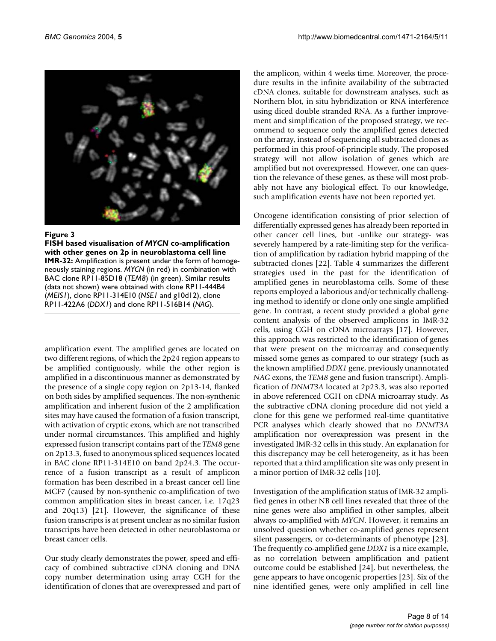

# Figure 3

**FISH based visualisation of** *MYCN* **co-amplification with other genes on 2p in neuroblastoma cell line IMR-32:** Amplification is present under the form of homogeneously staining regions. *MYCN* (in red) in combination with BAC clone RP11-85D18 (*TEM8*) (in green). Similar results (data not shown) were obtained with clone RP11-444B4 (*MEIS1*), clone RP11-314E10 (*NSE1* and g10d12), clone RP11-422A6 (*DDX1*) and clone RP11-516B14 (*NAG*).

amplification event. The amplified genes are located on two different regions, of which the 2p24 region appears to be amplified contiguously, while the other region is amplified in a discontinuous manner as demonstrated by the presence of a single copy region on 2p13-14, flanked on both sides by amplified sequences. The non-synthenic amplification and inherent fusion of the 2 amplification sites may have caused the formation of a fusion transcript, with activation of cryptic exons, which are not transcribed under normal circumstances. This amplified and highly expressed fusion transcript contains part of the *TEM8* gene on 2p13.3, fused to anonymous spliced sequences located in BAC clone RP11-314E10 on band 2p24.3. The occurrence of a fusion transcript as a result of amplicon formation has been described in a breast cancer cell line MCF7 (caused by non-synthenic co-amplification of two common amplification sites in breast cancer, i.e. 17q23 and 20q13) [21]. However, the significance of these fusion transcripts is at present unclear as no similar fusion transcripts have been detected in other neuroblastoma or breast cancer cells.

Our study clearly demonstrates the power, speed and efficacy of combined subtractive cDNA cloning and DNA copy number determination using array CGH for the identification of clones that are overexpressed and part of the amplicon, within 4 weeks time. Moreover, the procedure results in the infinite availability of the subtracted cDNA clones, suitable for downstream analyses, such as Northern blot, in situ hybridization or RNA interference using diced double stranded RNA. As a further improvement and simplification of the proposed strategy, we recommend to sequence only the amplified genes detected on the array, instead of sequencing all subtracted clones as performed in this proof-of-principle study. The proposed strategy will not allow isolation of genes which are amplified but not overexpressed. However, one can question the relevance of these genes, as these will most probably not have any biological effect. To our knowledge, such amplification events have not been reported yet.

Oncogene identification consisting of prior selection of differentially expressed genes has already been reported in other cancer cell lines, but -unlike our strategy- was severely hampered by a rate-limiting step for the verification of amplification by radiation hybrid mapping of the subtracted clones [22]. Table [4](#page-11-0) summarizes the different strategies used in the past for the identification of amplified genes in neuroblastoma cells. Some of these reports employed a laborious and/or technically challenging method to identify or clone only one single amplified gene. In contrast, a recent study provided a global gene content analysis of the observed amplicons in IMR-32 cells, using CGH on cDNA microarrays [17]. However, this approach was restricted to the identification of genes that were present on the microarray and consequently missed some genes as compared to our strategy (such as the known amplified *DDX1* gene, previously unannotated *NAG* exons, the *TEM8* gene and fusion transcript). Amplification of *DNMT3A* located at 2p23.3, was also reported in above referenced CGH on cDNA microarray study. As the subtractive cDNA cloning procedure did not yield a clone for this gene we performed real-time quantitative PCR analyses which clearly showed that no *DNMT3A* amplification nor overexpression was present in the investigated IMR-32 cells in this study. An explanation for this discrepancy may be cell heterogeneity, as it has been reported that a third amplification site was only present in a minor portion of IMR-32 cells [10].

Investigation of the amplification status of IMR-32 amplified genes in other NB cell lines revealed that three of the nine genes were also amplified in other samples, albeit always co-amplified with *MYCN*. However, it remains an unsolved question whether co-amplified genes represent silent passengers, or co-determinants of phenotype [23]. The frequently co-amplified gene *DDX1* is a nice example, as no correlation between amplification and patient outcome could be established [24], but nevertheless, the gene appears to have oncogenic properties [23]. Six of the nine identified genes, were only amplified in cell line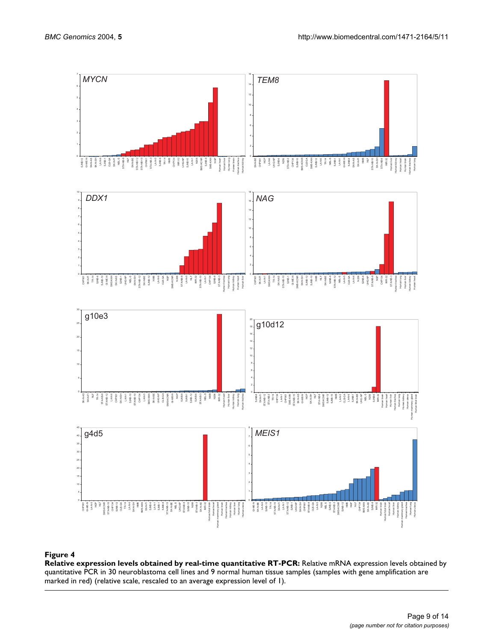

#### Figure 4

**Relative expression levels obtained by real-time quantitative RT-PCR:** Relative mRNA expression levels obtained by quantitative PCR in 30 neuroblastoma cell lines and 9 normal human tissue samples (samples with gene amplification are marked in red) (relative scale, rescaled to an average expression level of 1).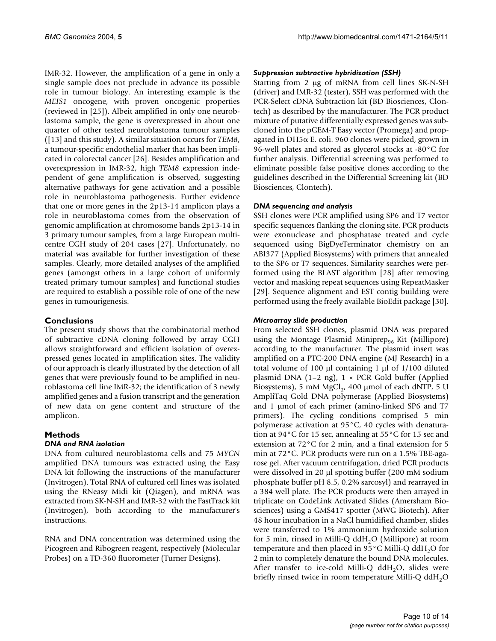IMR-32. However, the amplification of a gene in only a single sample does not preclude in advance its possible role in tumour biology. An interesting example is the *MEIS1* oncogene, with proven oncogenic properties (reviewed in [25]). Albeit amplified in only one neuroblastoma sample, the gene is overexpressed in about one quarter of other tested neuroblastoma tumour samples ([13] and this study). A similar situation occurs for *TEM8*, a tumour-specific endothelial marker that has been implicated in colorectal cancer [26]. Besides amplification and overexpression in IMR-32, high *TEM8* expression independent of gene amplification is observed, suggesting alternative pathways for gene activation and a possible role in neuroblastoma pathogenesis. Further evidence that one or more genes in the 2p13-14 amplicon plays a role in neuroblastoma comes from the observation of genomic amplification at chromosome bands 2p13-14 in 3 primary tumour samples, from a large European multicentre CGH study of 204 cases [27]. Unfortunately, no material was available for further investigation of these samples. Clearly, more detailed analyses of the amplified genes (amongst others in a large cohort of uniformly treated primary tumour samples) and functional studies are required to establish a possible role of one of the new genes in tumourigenesis.

# **Conclusions**

The present study shows that the combinatorial method of subtractive cDNA cloning followed by array CGH allows straightforward and efficient isolation of overexpressed genes located in amplification sites. The validity of our approach is clearly illustrated by the detection of all genes that were previously found to be amplified in neuroblastoma cell line IMR-32; the identification of 3 newly amplified genes and a fusion transcript and the generation of new data on gene content and structure of the amplicon.

# **Methods**

# *DNA and RNA isolation*

DNA from cultured neuroblastoma cells and 75 *MYCN* amplified DNA tumours was extracted using the Easy DNA kit following the instructions of the manufacturer (Invitrogen). Total RNA of cultured cell lines was isolated using the RNeasy Midi kit (Qiagen), and mRNA was extracted from SK-N-SH and IMR-32 with the FastTrack kit (Invitrogen), both according to the manufacturer's instructions.

RNA and DNA concentration was determined using the Picogreen and Ribogreen reagent, respectively (Molecular Probes) on a TD-360 fluorometer (Turner Designs).

#### *Suppression subtractive hybridization (SSH)*

Starting from 2 µg of mRNA from cell lines SK-N-SH (driver) and IMR-32 (tester), SSH was performed with the PCR-Select cDNA Subtraction kit (BD Biosciences, Clontech) as described by the manufacturer. The PCR product mixture of putative differentially expressed genes was subcloned into the pGEM-T Easy vector (Promega) and propagated in DH5α E. coli. 960 clones were picked, grown in 96-well plates and stored as glycerol stocks at -80°C for further analysis. Differential screening was performed to eliminate possible false positive clones according to the guidelines described in the Differential Screening kit (BD Biosciences, Clontech).

#### *DNA sequencing and analysis*

SSH clones were PCR amplified using SP6 and T7 vector specific sequences flanking the cloning site. PCR products were exonuclease and phosphatase treated and cycle sequenced using BigDyeTerminator chemistry on an ABI377 (Applied Biosystems) with primers that annealed to the SP6 or T7 sequences. Similarity searches were performed using the BLAST algorithm [28] after removing vector and masking repeat sequences using RepeatMasker [29]. Sequence alignment and EST contig building were performed using the freely available BioEdit package [30].

#### *Microarray slide production*

From selected SSH clones, plasmid DNA was prepared using the Montage Plasmid Miniprep $966$  Kit (Millipore) according to the manufacturer. The plasmid insert was amplified on a PTC-200 DNA engine (MJ Research) in a total volume of 100  $\mu$ l containing 1  $\mu$ l of 1/100 diluted plasmid DNA (1–2 ng),  $1 \times PCR$  Gold buffer (Applied Biosystems), 5 mM  $MgCl<sub>2</sub>$ , 400 µmol of each dNTP, 5 U AmpliTaq Gold DNA polymerase (Applied Biosystems) and 1 µmol of each primer (amino-linked SP6 and T7 primers). The cycling conditions comprised 5 min polymerase activation at 95°C, 40 cycles with denaturation at 94°C for 15 sec, annealing at 55°C for 15 sec and extension at 72°C for 2 min, and a final extension for 5 min at 72°C. PCR products were run on a 1.5% TBE-agarose gel. After vacuum centrifugation, dried PCR products were dissolved in 20  $\mu$ l spotting buffer (200 mM sodium phosphate buffer pH 8.5, 0.2% sarcosyl) and rearrayed in a 384 well plate. The PCR products were then arrayed in triplicate on CodeLink Activated Slides (Amersham Biosciences) using a GMS417 spotter (MWG Biotech). After 48 hour incubation in a NaCl humidified chamber, slides were transferred to 1% ammonium hydroxide solution for 5 min, rinsed in Milli-Q ddH<sub>2</sub>O (Millipore) at room temperature and then placed in  $95^{\circ}$ C Milli-Q ddH<sub>2</sub>O for 2 min to completely denature the bound DNA molecules. After transfer to ice-cold Milli-Q dd $H_2O$ , slides were briefly rinsed twice in room temperature Milli-Q dd $H_2O$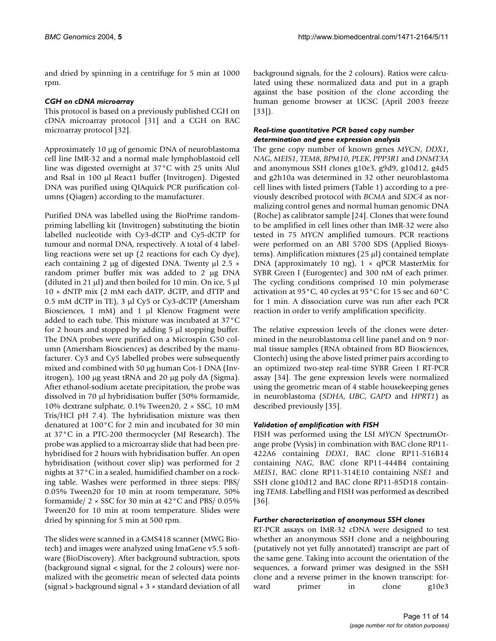and dried by spinning in a centrifuge for 5 min at 1000 rpm.

#### *CGH on cDNA microarray*

This protocol is based on a previously published CGH on cDNA microarray protocol [31] and a CGH on BAC microarray protocol [32].

Approximately 10 µg of genomic DNA of neuroblastoma cell line IMR-32 and a normal male lymphoblastoid cell line was digested overnight at 37°C with 25 units AluI and RsaI in 100 µl React1 buffer (Invitrogen). Digested DNA was purified using QIAquick PCR purification columns (Qiagen) according to the manufacturer.

Purified DNA was labelled using the BioPrime randompriming labelling kit (Invitrogen) substituting the biotin labelled nucleotide with Cy3-dCTP and Cy5-dCTP for tumour and normal DNA, respectively. A total of 4 labelling reactions were set up (2 reactions for each Cy dye), each containing 2  $\mu$ g of digested DNA. Twenty  $\mu$ l 2.5 × random primer buffer mix was added to 2 µg DNA (diluted in 21  $\mu$ ) and then boiled for 10 min. On ice, 5  $\mu$ l 10 × dNTP mix (2 mM each dATP, dGTP, and dTTP and 0.5 mM dCTP in TE), 3 µl Cy5 or Cy3-dCTP (Amersham Biosciences, 1 mM) and 1 µl Klenow Fragment were added to each tube. This mixture was incubated at 37°C for 2 hours and stopped by adding  $5 \mu l$  stopping buffer. The DNA probes were purified on a Microspin G50 column (Amersham Biosciences) as described by the manufacturer. Cy3 and Cy5 labelled probes were subsequently mixed and combined with 50 µg human Cot-1 DNA (Invitrogen), 100 µg yeast tRNA and 20 µg poly dA (Sigma). After ethanol-sodium acetate precipitation, the probe was dissolved in 70 µl hybridisation buffer (50% formamide, 10% dextrane sulphate, 0.1% Tween20, 2 × SSC, 10 mM Tris/HCl pH 7.4). The hybridisation mixture was then denatured at 100°C for 2 min and incubated for 30 min at 37°C in a PTC-200 thermocycler (MJ Research). The probe was applied to a microarray slide that had been prehybridised for 2 hours with hybridisation buffer. An open hybridisation (without cover slip) was performed for 2 nights at 37°C in a sealed, humidified chamber on a rocking table. Washes were performed in three steps: PBS/ 0.05% Tween20 for 10 min at room temperature, 50% formamide/  $2 \times$  SSC for 30 min at 42 °C and PBS/ 0.05% Tween20 for 10 min at room temperature. Slides were dried by spinning for 5 min at 500 rpm.

The slides were scanned in a GMS418 scanner (MWG Biotech) and images were analyzed using ImaGene v5.5 software (BioDiscovery). After background subtraction, spots (background signal < signal, for the 2 colours) were normalized with the geometric mean of selected data points (signal > background signal + 3 × standard deviation of all

background signals, for the 2 colours). Ratios were calculated using these normalized data and put in a graph against the base position of the clone according the human genome browser at UCSC (April 2003 freeze [33]).

#### *Real-time quantitative PCR based copy number determination and gene expression analysis*

The gene copy number of known genes *MYCN*, *DDX1*, *NAG*, *MEIS1*, *TEM8*, *BPM10*, *PLEK*, *PPP3R1* and *DNMT3A* and anonymous SSH clones g10e3, g9d9, g10d12, g4d5 and g2h10a was determined in 32 other neuroblastoma cell lines with listed primers (Table [1\)](#page-5-1) according to a previously described protocol with *BCMA* and *SDC4* as normalizing control genes and normal human genomic DNA (Roche) as calibrator sample [24]. Clones that were found to be amplified in cell lines other than IMR-32 were also tested in 75 *MYCN* amplified tumours. PCR reactions were performed on an ABI 5700 SDS (Applied Biosystems). Amplification mixtures (25 µl) contained template DNA (approximately 10 ng),  $1 \times qPCR$  MasterMix for SYBR Green I (Eurogentec) and 300 nM of each primer. The cycling conditions comprised 10 min polymerase activation at 95°C, 40 cycles at 95°C for 15 sec and 60°C for 1 min. A dissociation curve was run after each PCR reaction in order to verify amplification specificity.

The relative expression levels of the clones were determined in the neuroblastoma cell line panel and on 9 normal tissue samples (RNA obtained from BD Biosciences, Clontech) using the above listed primer pairs according to an optimized two-step real-time SYBR Green I RT-PCR assay [34]. The gene expression levels were normalized using the geometric mean of 4 stable housekeeping genes in neuroblastoma (*SDHA*, *UBC*, *GAPD* and *HPRT1*) as described previously [35].

# *Validation of amplification with FISH*

FISH was performed using the LSI *MYCN* SpectrumOrange probe (Vysis) in combination with BAC clone RP11- 422A6 containing *DDX1*, BAC clone RP11-516B14 containing *NAG*, BAC clone RP11-444B4 containing *MEIS1*, BAC clone RP11-314E10 containing *NSE1* and SSH clone g10d12 and BAC clone RP11-85D18 containing *TEM8*. Labelling and FISH was performed as described [36].

#### *Further characterization of anonymous SSH clones*

RT-PCR assays on IMR-32 cDNA were designed to test whether an anonymous SSH clone and a neighbouring (putatively not yet fully annotated) transcript are part of the same gene. Taking into account the orientation of the sequences, a forward primer was designed in the SSH clone and a reverse primer in the known transcript: forward primer in clone g10e3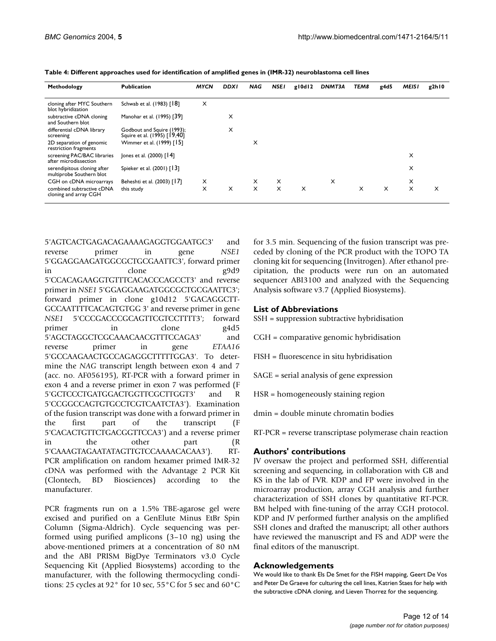| Methodology                                             | <b>Publication</b>                                         | <b>MYCN</b> | <b>DDXI</b> | <b>NAG</b> | <b>NSEI</b> | g10d12 | DNMT3A   | TEM8 | g4d5     | <b>MEISI</b> | g2h10 |
|---------------------------------------------------------|------------------------------------------------------------|-------------|-------------|------------|-------------|--------|----------|------|----------|--------------|-------|
| cloning after MYC Southern<br>blot hybridization        | Schwab et al. (1983) [18]                                  | X           |             |            |             |        |          |      |          |              |       |
| subtractive cDNA cloning<br>and Southern blot           | Manohar et al. (1995) [39]                                 |             | X           |            |             |        |          |      |          |              |       |
| differential cDNA library<br>screening                  | Godbout and Squire (1993);<br>Squire et al. (1995) [19,40] |             | X           |            |             |        |          |      |          |              |       |
| 2D separation of genomic<br>restriction fragments       | Wimmer et al. (1999) [15]                                  |             |             | X          |             |        |          |      |          |              |       |
| screening PAC/BAC libraries<br>after microdissection    | Jones et al. (2000) [14]                                   |             |             |            |             |        |          |      |          | X            |       |
| serendipitous cloning after<br>multiprobe Southern blot | Spieker et al. (2001) [13]                                 |             |             |            |             |        |          |      |          | X            |       |
| CGH on cDNA microarrays                                 | Beheshti et al. (2003) [17]                                | X           |             | x          | X           |        | $\times$ |      |          | X            |       |
| combined subtractive cDNA<br>cloning and array CGH      | this study                                                 | X           | $\times$    | $\times$   | $\times$    | X      |          | X    | $\times$ | X            | X     |

<span id="page-11-0"></span>**Table 4: Different approaches used for identification of amplified genes in (IMR-32) neuroblastoma cell lines**

5'AGTCACTGAGACAGAAAAGAGGTGGAATGC3' and reverse primer in gene *NSE1* 5'GGAGGAAGATGGCGCTGCGAATTC3', forward primer in clone g9d9 5'CCACAGAAGGTGTTTCACACCCAGCCT3' and reverse primer in *NSE1* 5'GGAGGAAGATGGCGCTGCGAATTC3'; forward primer in clone g10d12 5'GACAGGCTT-GCCAATTTTCACAGTGTGG 3' and reverse primer in gene *NSE1* 5'CCCGACCCGCAGTTCGTCCTTTT3'; forward primer in clone g4d5 5'AGCTAGGCTCGCAAACAACGTTTCCAGA3' and reverse primer in gene *ETAA16* 5'GCCAAGAACTGCCAGAGGCTTTTTGGA3'. To determine the *NAG* transcript length between exon 4 and 7 (acc. no. AF056195), RT-PCR with a forward primer in exon 4 and a reverse primer in exon 7 was performed (F 5'GCTCCCTGATGGACTGGTTCGCTTGGT3' and R 5'CCGGCCAGTGTGCCTCGTCAATCTA3'). Examination of the fusion transcript was done with a forward primer in the first part of the transcript (F 5'CACACTGTTCTGACGGTTCCA3') and a reverse primer in the other part (R 5'CAAAGTAGAATATAGTTGTCCAAAACACAA3'). RT-PCR amplification on random hexamer primed IMR-32 cDNA was performed with the Advantage 2 PCR Kit (Clontech, BD Biosciences) according to the manufacturer.

PCR fragments run on a 1.5% TBE-agarose gel were excised and purified on a GenElute Minus EtBr Spin Column (Sigma-Aldrich). Cycle sequencing was performed using purified amplicons (3–10 ng) using the above-mentioned primers at a concentration of 80 nM and the ABI PRISM BigDye Terminators v3.0 Cycle Sequencing Kit (Applied Biosystems) according to the manufacturer, with the following thermocycling conditions: 25 cycles at 92° for 10 sec, 55°C for 5 sec and 60°C for 3.5 min. Sequencing of the fusion transcript was preceded by cloning of the PCR product with the TOPO TA cloning kit for sequencing (Invitrogen). After ethanol precipitation, the products were run on an automated sequencer ABI3100 and analyzed with the Sequencing Analysis software v3.7 (Applied Biosystems).

#### **List of Abbreviations**

SSH = suppression subtractive hybridisation

- CGH = comparative genomic hybridisation
- FISH = fluorescence in situ hybridisation
- SAGE = serial analysis of gene expression
- HSR = homogeneously staining region
- dmin = double minute chromatin bodies

RT-PCR = reverse transcriptase polymerase chain reaction

# **Authors' contributions**

JV oversaw the project and performed SSH, differential screening and sequencing, in collaboration with GB and KS in the lab of FVR. KDP and FP were involved in the microarray production, array CGH analysis and further characterization of SSH clones by quantitative RT-PCR. BM helped with fine-tuning of the array CGH protocol. KDP and JV performed further analysis on the amplified SSH clones and drafted the manuscript; all other authors have reviewed the manuscript and FS and ADP were the final editors of the manuscript.

# **Acknowledgements**

We would like to thank Els De Smet for the FISH mapping, Geert De Vos and Peter De Graeve for culturing the cell lines, Katrien Staes for help with the subtractive cDNA cloning, and Lieven Thorrez for the sequencing.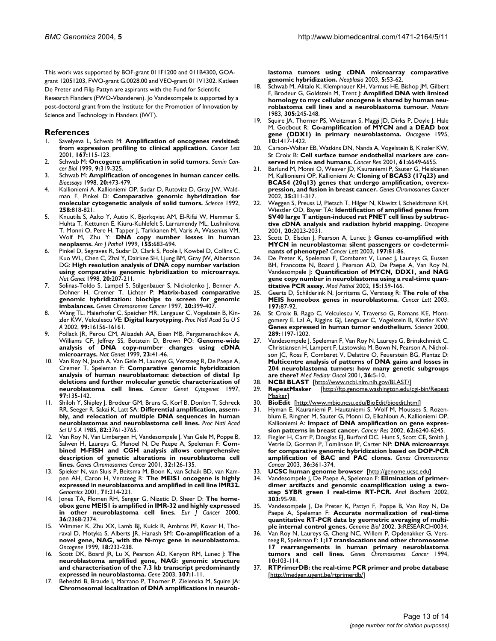This work was supported by BOF-grant 011F1200 and 011B4300, GOAgrant 12051203, FWO-grant G.0028.00 and VEO-grant 011V1302. Katleen De Preter and Filip Pattyn are aspirants with the Fund for Scientific Research Flanders (FWO-Vlaanderen). Jo Vandesompele is supported by a post-doctoral grant from the Institute for the Promotion of Innovation by Science and Technology in Flanders (IWT).

#### **References**

- 1. Savelyeva L, Schwab M: **[Amplification of oncogenes revisited:](http://www.ncbi.nlm.nih.gov/entrez/query.fcgi?cmd=Retrieve&db=PubMed&dopt=Abstract&list_uids=10.1016/S0304-3835(01)00472-4) [from expression profiling to clinical application](http://www.ncbi.nlm.nih.gov/entrez/query.fcgi?cmd=Retrieve&db=PubMed&dopt=Abstract&list_uids=10.1016/S0304-3835(01)00472-4)[.](http://www.ncbi.nlm.nih.gov/entrez/query.fcgi?cmd=Retrieve&db=PubMed&dopt=Abstract&list_uids=11369131)** *Cancer Lett* 2001, **167:**115-123.
- 2. Schwab M: **[Oncogene amplification in solid tumors](http://www.ncbi.nlm.nih.gov/entrez/query.fcgi?cmd=Retrieve&db=PubMed&dopt=Abstract&list_uids=10.1006/scbi.1999.0126)[.](http://www.ncbi.nlm.nih.gov/entrez/query.fcgi?cmd=Retrieve&db=PubMed&dopt=Abstract&list_uids=10448118)** *Semin Cancer Biol* 1999, **9:**319-325.
- 3. Schwab M: **[Amplification of oncogenes in human cancer cells](http://www.ncbi.nlm.nih.gov/entrez/query.fcgi?cmd=Retrieve&db=PubMed&dopt=Abstract&list_uids=10.1002/(SICI)1521-1878(199806)20:6<473::AID-BIES5>3.3.CO;2-N)[.](http://www.ncbi.nlm.nih.gov/entrez/query.fcgi?cmd=Retrieve&db=PubMed&dopt=Abstract&list_uids=9699459)** *Bioessays* 1998, **20:**473-479.
- 4. Kallioniemi A, Kallioniemi OP, Sudar D, Rutovitz D, Gray JW, Waldman F, Pinkel D: **[Comparative genomic hybridization for](http://www.ncbi.nlm.nih.gov/entrez/query.fcgi?cmd=Retrieve&db=PubMed&dopt=Abstract&list_uids=1359641) [molecular cytogenetic analysis of solid tumors.](http://www.ncbi.nlm.nih.gov/entrez/query.fcgi?cmd=Retrieve&db=PubMed&dopt=Abstract&list_uids=1359641)** *Science* 1992, **258:**818-821.
- 5. Knuutila S, Aalto Y, Autio K, Bjorkqvist AM, El-Rifai W, Hemmer S, Huhta T, Kettunen E, Kiuru-Kuhlefelt S, Larramendy ML, Lushnikova T, Monni O, Pere H, Tapper J, Tarkkanen M, Varis A, Wasenius VM, Wolf M, Zhu Y: **[DNA copy number losses in human](http://www.ncbi.nlm.nih.gov/entrez/query.fcgi?cmd=Retrieve&db=PubMed&dopt=Abstract&list_uids=10487825) [neoplasms.](http://www.ncbi.nlm.nih.gov/entrez/query.fcgi?cmd=Retrieve&db=PubMed&dopt=Abstract&list_uids=10487825)** *Am J Pathol* 1999, **155:**683-694.
- Pinkel D, Segraves R, Sudar D, Clark S, Poole I, Kowbel D, Collins C, Kuo WL, Chen C, Zhai Y, Dairkee SH, Ljung BM, Gray JW, Albertson DG: **[High resolution analysis of DNA copy number variation](http://www.ncbi.nlm.nih.gov/entrez/query.fcgi?cmd=Retrieve&db=PubMed&dopt=Abstract&list_uids=10.1038/2524) [using comparative genomic hybridization to microarrays](http://www.ncbi.nlm.nih.gov/entrez/query.fcgi?cmd=Retrieve&db=PubMed&dopt=Abstract&list_uids=10.1038/2524)[.](http://www.ncbi.nlm.nih.gov/entrez/query.fcgi?cmd=Retrieve&db=PubMed&dopt=Abstract&list_uids=9771718)** *Nat Genet* 1998, **20:**207-211.
- Solinas-Toldo S, Lampel S, Stilgenbauer S, Nickolenko J, Benner A, Dohner H, Cremer T, Lichter P: **[Matrix-based comparative](http://www.ncbi.nlm.nih.gov/entrez/query.fcgi?cmd=Retrieve&db=PubMed&dopt=Abstract&list_uids=10.1002/(SICI)1098-2264(199712)20:4<399::AID-GCC12>3.3.CO;2-L) [genomic hybridization: biochips to screen for genomic](http://www.ncbi.nlm.nih.gov/entrez/query.fcgi?cmd=Retrieve&db=PubMed&dopt=Abstract&list_uids=10.1002/(SICI)1098-2264(199712)20:4<399::AID-GCC12>3.3.CO;2-L) [imbalances](http://www.ncbi.nlm.nih.gov/entrez/query.fcgi?cmd=Retrieve&db=PubMed&dopt=Abstract&list_uids=10.1002/(SICI)1098-2264(199712)20:4<399::AID-GCC12>3.3.CO;2-L)[.](http://www.ncbi.nlm.nih.gov/entrez/query.fcgi?cmd=Retrieve&db=PubMed&dopt=Abstract&list_uids=9408757)** *Genes Chromosomes Cancer* 1997, **20:**399-407.
- 8. Wang TL, Maierhofer C, Speicher MR, Lengauer C, Vogelstein B, Kinzler KW, Velculescu VE: **[Digital karyotyping](http://www.ncbi.nlm.nih.gov/entrez/query.fcgi?cmd=Retrieve&db=PubMed&dopt=Abstract&list_uids=138581)[.](http://www.ncbi.nlm.nih.gov/entrez/query.fcgi?cmd=Retrieve&db=PubMed&dopt=Abstract&list_uids=10.1073/pnas.202610899)** *Proc Natl Acad Sci U S A* 2002, **99:**16156-16161.
- 9. Pollack JR, Perou CM, Alizadeh AA, Eisen MB, Pergamenschikov A, Williams CF, Jeffrey SS, Botstein D, Brown PO: **[Genome-wide](http://www.ncbi.nlm.nih.gov/entrez/query.fcgi?cmd=Retrieve&db=PubMed&dopt=Abstract&list_uids=10.1038/14385) [analysis of DNA copy-number changes using cDNA](http://www.ncbi.nlm.nih.gov/entrez/query.fcgi?cmd=Retrieve&db=PubMed&dopt=Abstract&list_uids=10.1038/14385) [microarrays](http://www.ncbi.nlm.nih.gov/entrez/query.fcgi?cmd=Retrieve&db=PubMed&dopt=Abstract&list_uids=10.1038/14385)[.](http://www.ncbi.nlm.nih.gov/entrez/query.fcgi?cmd=Retrieve&db=PubMed&dopt=Abstract&list_uids=10471496)** *Nat Genet* 1999, **23:**41-46.
- 10. Van Roy N, Jauch A, Van Gele M, Laureys G, Versteeg R, De Paepe A, Cremer T, Speleman F: **[Comparative genomic hybridization](http://www.ncbi.nlm.nih.gov/entrez/query.fcgi?cmd=Retrieve&db=PubMed&dopt=Abstract&list_uids=10.1016/S0165-4608(96)00362-7) [analysis of human neuroblastomas: detection of distal 1p](http://www.ncbi.nlm.nih.gov/entrez/query.fcgi?cmd=Retrieve&db=PubMed&dopt=Abstract&list_uids=10.1016/S0165-4608(96)00362-7) deletions and further molecular genetic characterization of [neuroblastoma cell lines](http://www.ncbi.nlm.nih.gov/entrez/query.fcgi?cmd=Retrieve&db=PubMed&dopt=Abstract&list_uids=10.1016/S0165-4608(96)00362-7)[.](http://www.ncbi.nlm.nih.gov/entrez/query.fcgi?cmd=Retrieve&db=PubMed&dopt=Abstract&list_uids=9283597)** *Cancer Genet Cytogenet* 1997, **97:**135-142.
- 11. Shiloh Y, Shipley J, Brodeur GM, Bruns G, Korf B, Donlon T, Schreck RR, Seeger R, Sakai K, Latt SA: **[Differential amplification, assem](http://www.ncbi.nlm.nih.gov/entrez/query.fcgi?cmd=Retrieve&db=PubMed&dopt=Abstract&list_uids=3858848)[bly, and relocation of multiple DNA sequences in human](http://www.ncbi.nlm.nih.gov/entrez/query.fcgi?cmd=Retrieve&db=PubMed&dopt=Abstract&list_uids=3858848) [neuroblastomas and neuroblastoma cell lines.](http://www.ncbi.nlm.nih.gov/entrez/query.fcgi?cmd=Retrieve&db=PubMed&dopt=Abstract&list_uids=3858848)** *Proc Natl Acad Sci U S A* 1985, **82:**3761-3765.
- 12. Van Roy N, Van Limbergen H, Vandesompele J, Van Gele M, Poppe B, Salwen H, Laureys G, Manoel N, De Paepe A, Speleman F: **[Com](http://www.ncbi.nlm.nih.gov/entrez/query.fcgi?cmd=Retrieve&db=PubMed&dopt=Abstract&list_uids=10.1002/gcc.1174)[bined M-FISH and CGH analysis allows comprehensive](http://www.ncbi.nlm.nih.gov/entrez/query.fcgi?cmd=Retrieve&db=PubMed&dopt=Abstract&list_uids=10.1002/gcc.1174) description of genetic alterations in neuroblastoma cell [lines](http://www.ncbi.nlm.nih.gov/entrez/query.fcgi?cmd=Retrieve&db=PubMed&dopt=Abstract&list_uids=10.1002/gcc.1174)[.](http://www.ncbi.nlm.nih.gov/entrez/query.fcgi?cmd=Retrieve&db=PubMed&dopt=Abstract&list_uids=11550280)** *Genes Chromosomes Cancer* 2001, **32:**126-135.
- 13. Spieker N, van Sluis P, Beitsma M, Boon K, van Schaik BD, van Kampen AH, Caron H, Versteeg R: **[The MEIS1 oncogene is highly](http://www.ncbi.nlm.nih.gov/entrez/query.fcgi?cmd=Retrieve&db=PubMed&dopt=Abstract&list_uids=10.1006/geno.2000.6408) [expressed in neuroblastoma and amplified in cell line IMR32](http://www.ncbi.nlm.nih.gov/entrez/query.fcgi?cmd=Retrieve&db=PubMed&dopt=Abstract&list_uids=10.1006/geno.2000.6408)[.](http://www.ncbi.nlm.nih.gov/entrez/query.fcgi?cmd=Retrieve&db=PubMed&dopt=Abstract&list_uids=11161815)** *Genomics* 2001, **71:**214-221.
- 14. Jones TA, Flomen RH, Senger G, Nizetic D, Sheer D: **[The home](http://www.ncbi.nlm.nih.gov/entrez/query.fcgi?cmd=Retrieve&db=PubMed&dopt=Abstract&list_uids=10.1016/S0959-8049(00)00332-4)[obox gene MEIS1 is amplified in IMR-32 and highly expressed](http://www.ncbi.nlm.nih.gov/entrez/query.fcgi?cmd=Retrieve&db=PubMed&dopt=Abstract&list_uids=10.1016/S0959-8049(00)00332-4) [in other neuroblastoma cell lines](http://www.ncbi.nlm.nih.gov/entrez/query.fcgi?cmd=Retrieve&db=PubMed&dopt=Abstract&list_uids=10.1016/S0959-8049(00)00332-4)[.](http://www.ncbi.nlm.nih.gov/entrez/query.fcgi?cmd=Retrieve&db=PubMed&dopt=Abstract&list_uids=11094311)** *Eur J Cancer* 2000, **36:**2368-2374.
- 15. Wimmer K, Zhu XX, Lamb BJ, Kuick R, Ambros PF, Kovar H, Thoraval D, Motyka S, Alberts JR, Hanash SM: **[Co-amplification of a](http://www.ncbi.nlm.nih.gov/entrez/query.fcgi?cmd=Retrieve&db=PubMed&dopt=Abstract&list_uids=10.1038/sj.onc.1202287) [novel gene, NAG, with the N-myc gene in neuroblastoma](http://www.ncbi.nlm.nih.gov/entrez/query.fcgi?cmd=Retrieve&db=PubMed&dopt=Abstract&list_uids=10.1038/sj.onc.1202287)[.](http://www.ncbi.nlm.nih.gov/entrez/query.fcgi?cmd=Retrieve&db=PubMed&dopt=Abstract&list_uids=9926938)** *Oncogene* 1999, **18:**233-238.
- 16. Scott DK, Board JR, Lu X, Pearson AD, Kenyon RM, Lunec J: **[The](http://www.ncbi.nlm.nih.gov/entrez/query.fcgi?cmd=Retrieve&db=PubMed&dopt=Abstract&list_uids=10.1016/S0378-1119(03)00459-1) [neuroblastoma amplified gene, NAG: genomic structure](http://www.ncbi.nlm.nih.gov/entrez/query.fcgi?cmd=Retrieve&db=PubMed&dopt=Abstract&list_uids=10.1016/S0378-1119(03)00459-1) and characterisation of the 7.3 kb transcript predominantly [expressed in neuroblastoma](http://www.ncbi.nlm.nih.gov/entrez/query.fcgi?cmd=Retrieve&db=PubMed&dopt=Abstract&list_uids=10.1016/S0378-1119(03)00459-1)[.](http://www.ncbi.nlm.nih.gov/entrez/query.fcgi?cmd=Retrieve&db=PubMed&dopt=Abstract&list_uids=12706883)** *Gene* 2003, **307:**1-11.
- 17. Beheshti B, Braude I, Marrano P, Thorner P, Zielenska M, Squire JA: **[Chromosomal localization of DNA amplifications in neurob-](http://www.ncbi.nlm.nih.gov/entrez/query.fcgi?cmd=Retrieve&db=PubMed&dopt=Abstract&list_uids=12659670)**

**[lastoma tumors using cDNA microarray comparative](http://www.ncbi.nlm.nih.gov/entrez/query.fcgi?cmd=Retrieve&db=PubMed&dopt=Abstract&list_uids=12659670) [genomic hybridization.](http://www.ncbi.nlm.nih.gov/entrez/query.fcgi?cmd=Retrieve&db=PubMed&dopt=Abstract&list_uids=12659670)** *Neoplasia* 2003, **5:**53-62.

- 18. Schwab M, Alitalo K, Klempnauer KH, Varmus HE, Bishop JM, Gilbert F, Brodeur G, Goldstein M, Trent J: **[Amplified DNA with limited](http://www.ncbi.nlm.nih.gov/entrez/query.fcgi?cmd=Retrieve&db=PubMed&dopt=Abstract&list_uids=6888561) [homology to myc cellular oncogene is shared by human neu](http://www.ncbi.nlm.nih.gov/entrez/query.fcgi?cmd=Retrieve&db=PubMed&dopt=Abstract&list_uids=6888561)[roblastoma cell lines and a neuroblastoma tumour.](http://www.ncbi.nlm.nih.gov/entrez/query.fcgi?cmd=Retrieve&db=PubMed&dopt=Abstract&list_uids=6888561)** *Nature* 1983, **305:**245-248.
- 19. Squire JA, Thorner PS, Weitzman S, Maggi JD, Dirks P, Doyle J, Hale M, Godbout R: **[Co-amplification of MYCN and a DEAD box](http://www.ncbi.nlm.nih.gov/entrez/query.fcgi?cmd=Retrieve&db=PubMed&dopt=Abstract&list_uids=7731693) [gene \(DDX1\) in primary neuroblastoma.](http://www.ncbi.nlm.nih.gov/entrez/query.fcgi?cmd=Retrieve&db=PubMed&dopt=Abstract&list_uids=7731693)** *Oncogene* 1995, **10:**1417-1422.
- 20. Carson-Walter EB, Watkins DN, Nanda A, Vogelstein B, Kinzler KW, St Croix B: **[Cell surface tumor endothelial markers are con](http://www.ncbi.nlm.nih.gov/entrez/query.fcgi?cmd=Retrieve&db=PubMed&dopt=Abstract&list_uids=11559528)[served in mice and humans.](http://www.ncbi.nlm.nih.gov/entrez/query.fcgi?cmd=Retrieve&db=PubMed&dopt=Abstract&list_uids=11559528)** *Cancer Res* 2001, **61:**6649-6655.
- 21. Barlund M, Monni O, Weaver JD, Kauraniemi P, Sauter G, Heiskanen M, Kallioniemi OP, Kallioniemi A: **[Cloning of BCAS3 \(17q23\) and](http://www.ncbi.nlm.nih.gov/entrez/query.fcgi?cmd=Retrieve&db=PubMed&dopt=Abstract&list_uids=10.1002/gcc.10121) [BCAS4 \(20q13\) genes that undergo amplification, overex](http://www.ncbi.nlm.nih.gov/entrez/query.fcgi?cmd=Retrieve&db=PubMed&dopt=Abstract&list_uids=10.1002/gcc.10121)[pression, and fusion in breast cancer](http://www.ncbi.nlm.nih.gov/entrez/query.fcgi?cmd=Retrieve&db=PubMed&dopt=Abstract&list_uids=10.1002/gcc.10121)[.](http://www.ncbi.nlm.nih.gov/entrez/query.fcgi?cmd=Retrieve&db=PubMed&dopt=Abstract&list_uids=12378525)** *Genes Chromosomes Cancer* 2002, **35:**311-317.
- 22. Weggen S, Preuss U, Pietsch T, Hilger N, Klawitz I, Scheidtmann KH, Wiestler OD, Bayer TA: **[Identification of amplified genes from](http://www.ncbi.nlm.nih.gov/entrez/query.fcgi?cmd=Retrieve&db=PubMed&dopt=Abstract&list_uids=10.1038/sj.onc.1204287) [SV40 large T antigen-induced rat PNET cell lines by subtrac](http://www.ncbi.nlm.nih.gov/entrez/query.fcgi?cmd=Retrieve&db=PubMed&dopt=Abstract&list_uids=10.1038/sj.onc.1204287)[tive cDNA analysis and radiation hybrid mapping](http://www.ncbi.nlm.nih.gov/entrez/query.fcgi?cmd=Retrieve&db=PubMed&dopt=Abstract&list_uids=10.1038/sj.onc.1204287)[.](http://www.ncbi.nlm.nih.gov/entrez/query.fcgi?cmd=Retrieve&db=PubMed&dopt=Abstract&list_uids=11360186)** *Oncogene* 2001, **20:**2023-2031.
- 23. Scott D, Elsden J, Pearson A, Lunec J: **[Genes co-amplified with](http://www.ncbi.nlm.nih.gov/entrez/query.fcgi?cmd=Retrieve&db=PubMed&dopt=Abstract&list_uids=10.1016/S0304-3835(03)00086-7) [MYCN in neuroblastoma: silent passengers or co-determi](http://www.ncbi.nlm.nih.gov/entrez/query.fcgi?cmd=Retrieve&db=PubMed&dopt=Abstract&list_uids=10.1016/S0304-3835(03)00086-7)[nants of phenotype?](http://www.ncbi.nlm.nih.gov/entrez/query.fcgi?cmd=Retrieve&db=PubMed&dopt=Abstract&list_uids=10.1016/S0304-3835(03)00086-7)** *Cancer Lett* 2003, **197:**81-86.
- 24. De Preter K, Speleman F, Combaret V, Lunec J, Laureys G, Eussen BH, Francotte N, Board J, Pearson AD, De Paepe A, Van Roy N, Vandesompele J: **[Quantification of MYCN, DDX1, and NAG](http://www.ncbi.nlm.nih.gov/entrez/query.fcgi?cmd=Retrieve&db=PubMed&dopt=Abstract&list_uids=11850545) [gene copy number in neuroblastoma using a real-time quan](http://www.ncbi.nlm.nih.gov/entrez/query.fcgi?cmd=Retrieve&db=PubMed&dopt=Abstract&list_uids=11850545)[titative PCR assay.](http://www.ncbi.nlm.nih.gov/entrez/query.fcgi?cmd=Retrieve&db=PubMed&dopt=Abstract&list_uids=11850545)** *Mod Pathol* 2002, **15:**159-166.
- 25. Geerts D, Schilderink N, Jorritsma G, Versteeg R: **[The role of the](http://www.ncbi.nlm.nih.gov/entrez/query.fcgi?cmd=Retrieve&db=PubMed&dopt=Abstract&list_uids=10.1016/S0304-3835(03)00087-9) [MEIS homeobox genes in neuroblastoma](http://www.ncbi.nlm.nih.gov/entrez/query.fcgi?cmd=Retrieve&db=PubMed&dopt=Abstract&list_uids=10.1016/S0304-3835(03)00087-9)[.](http://www.ncbi.nlm.nih.gov/entrez/query.fcgi?cmd=Retrieve&db=PubMed&dopt=Abstract&list_uids=12880965)** *Cancer Lett* 2003, **197:**87-92.
- 26. St Croix B, Rago C, Velculescu V, Traverso G, Romans KE, Montgomery E, Lal A, Riggins GJ, Lengauer C, Vogelstein B, Kinzler KW: **[Genes expressed in human tumor endothelium](http://www.ncbi.nlm.nih.gov/entrez/query.fcgi?cmd=Retrieve&db=PubMed&dopt=Abstract&list_uids=10.1126/science.289.5482.1197)[.](http://www.ncbi.nlm.nih.gov/entrez/query.fcgi?cmd=Retrieve&db=PubMed&dopt=Abstract&list_uids=10947988)** *Science* 2000, **289:**1197-1202.
- 27. Vandesompele J, Speleman F, Van Roy N, Laureys G, Brinskchmidt C, Christiansen H, Lampert F, Lastowska M, Bown N, Pearson A, Nicholson JC, Ross F, Combaret V, Delattre O, Feuerstein BG, Plantaz D: **[Multicentre analysis of patterns of DNA gains and losses in](http://www.ncbi.nlm.nih.gov/entrez/query.fcgi?cmd=Retrieve&db=PubMed&dopt=Abstract&list_uids=10.1002/1096-911X(20010101)36:1<5::AID-MPO1003>3.0.CO;2-E) 204 neuroblastoma tumors: how many genetic subgroups [are there?](http://www.ncbi.nlm.nih.gov/entrez/query.fcgi?cmd=Retrieve&db=PubMed&dopt=Abstract&list_uids=10.1002/1096-911X(20010101)36:1<5::AID-MPO1003>3.0.CO;2-E)** *Med Pediatr Oncol* 2001, **36:**5-10.
- 28. **NCBI BLAST** [[http://www.ncbi.nlm.nih.gov/BLAST/\]](http://www.ncbi.nlm.nih.gov/BLAST/)<br>29. **RepeatMasker** [http://ftp.genome.washington.edu/
- 29. **RepeatMasker** [\[http://ftp.genome.washington.edu/cgi-bin/Repeat](http://ftp.genome.washington.edu/cgi-bin/Repeatmasker) [Masker\]](http://ftp.genome.washington.edu/cgi-bin/Repeatmasker)
- 30. **BioEdit** [<http://www.mbio.ncsu.edu/BioEdit/bioedit.html>]
- 31. Hyman E, Kauraniemi P, Hautaniemi S, Wolf M, Mousses S, Rozenblum E, Ringner M, Sauter G, Monni O, Elkahloun A, Kallioniemi OP, Kallioniemi A: **[Impact of DNA amplification on gene expres](http://www.ncbi.nlm.nih.gov/entrez/query.fcgi?cmd=Retrieve&db=PubMed&dopt=Abstract&list_uids=12414653)[sion patterns in breast cancer.](http://www.ncbi.nlm.nih.gov/entrez/query.fcgi?cmd=Retrieve&db=PubMed&dopt=Abstract&list_uids=12414653)** *Cancer Res* 2002, **62:**6240-6245.
- 32. Fiegler H, Carr P, Douglas EJ, Burford DC, Hunt S, Scott CE, Smith J, Vetrie D, Gorman P, Tomlinson IP, Carter NP: **[DNA microarrays](http://www.ncbi.nlm.nih.gov/entrez/query.fcgi?cmd=Retrieve&db=PubMed&dopt=Abstract&list_uids=10.1002/gcc.10155) [for comparative genomic hybridization based on DOP-PCR](http://www.ncbi.nlm.nih.gov/entrez/query.fcgi?cmd=Retrieve&db=PubMed&dopt=Abstract&list_uids=10.1002/gcc.10155) [amplification of BAC and PAC clones](http://www.ncbi.nlm.nih.gov/entrez/query.fcgi?cmd=Retrieve&db=PubMed&dopt=Abstract&list_uids=10.1002/gcc.10155)[.](http://www.ncbi.nlm.nih.gov/entrez/query.fcgi?cmd=Retrieve&db=PubMed&dopt=Abstract&list_uids=12619160)** *Genes Chromosomes Cancer* 2003, **36:**361-374.
- 33. **UCSC human genome browser** [\[http://genome.ucsc.edu](http://genome.ucsc.edu)]<br>34. Vandesompele I. De Paepe A. Speleman F: **Elimination of pr**
- 34. Vandesompele J, De Paepe A, Speleman F: **[Elimination of primer](http://www.ncbi.nlm.nih.gov/entrez/query.fcgi?cmd=Retrieve&db=PubMed&dopt=Abstract&list_uids=10.1006/abio.2001.5564)[dimer artifacts and genomic coamplification using a two](http://www.ncbi.nlm.nih.gov/entrez/query.fcgi?cmd=Retrieve&db=PubMed&dopt=Abstract&list_uids=10.1006/abio.2001.5564)[step SYBR green I real-time RT-PCR](http://www.ncbi.nlm.nih.gov/entrez/query.fcgi?cmd=Retrieve&db=PubMed&dopt=Abstract&list_uids=10.1006/abio.2001.5564)[.](http://www.ncbi.nlm.nih.gov/entrez/query.fcgi?cmd=Retrieve&db=PubMed&dopt=Abstract&list_uids=11906156)** *Anal Biochem* 2002, **303:**95-98.
- Vandesompele J, De Preter K, Pattyn F, Poppe B, Van Roy N, De Paepe A, Speleman F: **[Accurate normalization of real-time](http://www.ncbi.nlm.nih.gov/entrez/query.fcgi?cmd=Retrieve&db=PubMed&dopt=Abstract&list_uids=126239) [quantitative RT-PCR data by geometric averaging of multi](http://www.ncbi.nlm.nih.gov/entrez/query.fcgi?cmd=Retrieve&db=PubMed&dopt=Abstract&list_uids=126239)[ple internal control genes](http://www.ncbi.nlm.nih.gov/entrez/query.fcgi?cmd=Retrieve&db=PubMed&dopt=Abstract&list_uids=126239)[.](http://www.ncbi.nlm.nih.gov/entrez/query.fcgi?cmd=Retrieve&db=PubMed&dopt=Abstract&list_uids=10.1186/gb-2002-3-7-research0034)** *Genome Biol* 2002, **3:**RESEARCH0034.
- 36. Van Roy N, Laureys G, Cheng NC, Willem P, Opdenakker G, Versteeg R, Speleman F: **[1;17 translocations and other chromosome](http://www.ncbi.nlm.nih.gov/entrez/query.fcgi?cmd=Retrieve&db=PubMed&dopt=Abstract&list_uids=7520263) [17 rearrangements in human primary neuroblastoma](http://www.ncbi.nlm.nih.gov/entrez/query.fcgi?cmd=Retrieve&db=PubMed&dopt=Abstract&list_uids=7520263) [tumors and cell lines.](http://www.ncbi.nlm.nih.gov/entrez/query.fcgi?cmd=Retrieve&db=PubMed&dopt=Abstract&list_uids=7520263)** *Genes Chromosomes Cancer* 1994, **10:**103-114.
- 37. **RTPrimerDB: the real-time PCR primer and probe database** [<http://medgen.ugent.be/rtprimerdb/>]